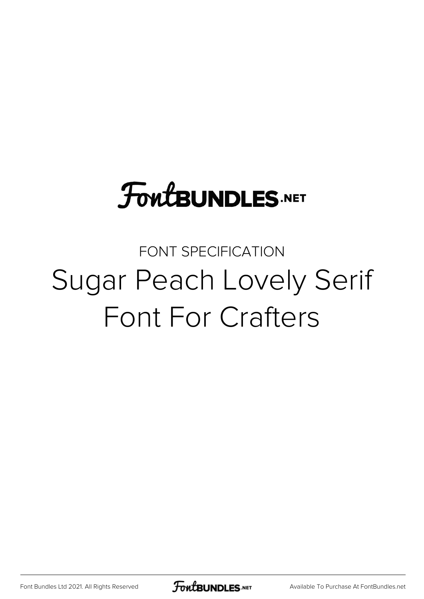# **FoutBUNDLES.NET**

#### FONT SPECIFICATION Sugar Peach Lovely Serif Font For Crafters

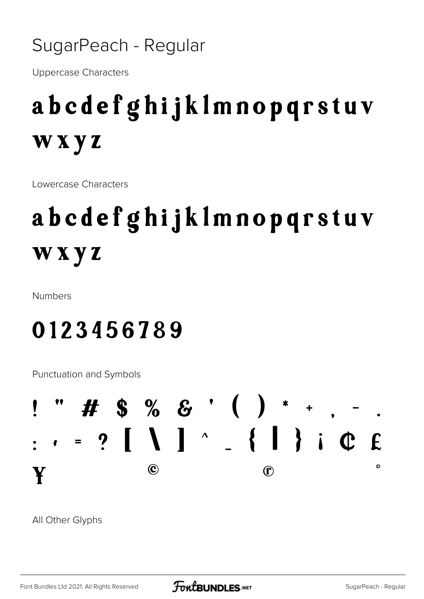#### SugarPeach - Regular

**Uppercase Characters** 

### abcdefghijklmnopqrstuv wxyz

Lowercase Characters

## abcdefghijklmnopqrstuv wxyz

**Numbers** 

#### 0123456789

**Punctuation and Symbols** 



All Other Glyphs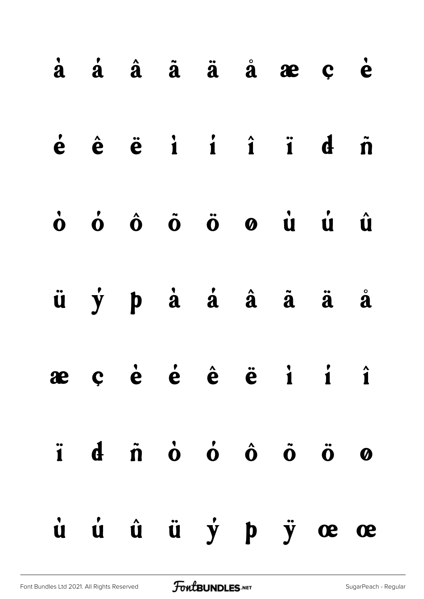|  |  |  | à á â ã ä å æ ç è                                                                                                                                                                               |  |
|--|--|--|-------------------------------------------------------------------------------------------------------------------------------------------------------------------------------------------------|--|
|  |  |  | $\dot{e}$ $\dot{e}$ $\ddot{e}$ $\dot{1}$ $\dot{1}$ $\dot{1}$ $\ddot{1}$ $\dot{d}$ $\ddot{n}$                                                                                                    |  |
|  |  |  | $\dot{\mathbf{o}}$ $\dot{\mathbf{o}}$ $\dot{\mathbf{o}}$ $\ddot{\mathbf{o}}$ $\ddot{\mathbf{o}}$ $\dot{\mathbf{o}}$ $\dot{\mathbf{o}}$ $\dot{\mathbf{u}}$ $\dot{\mathbf{u}}$ $\dot{\mathbf{u}}$ |  |
|  |  |  | ü ý p à á â ã ä å                                                                                                                                                                               |  |
|  |  |  | æçè é ê ë i i î                                                                                                                                                                                 |  |
|  |  |  | i di no o o o o o                                                                                                                                                                               |  |
|  |  |  | ù ú û ÿ p ÿ œ œ                                                                                                                                                                                 |  |